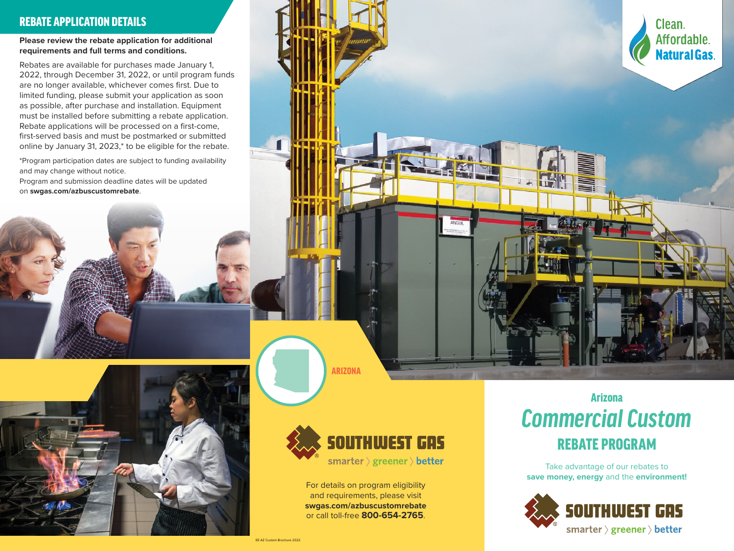#### REBATE APPLICATION DETAILS

**Please review the rebate application for additional requirements and full terms and conditions.**

Rebates are available for purchases made January 1, 2022, through December 31, 2022, or until program funds are no longer available, whichever comes first. Due to limited funding, please submit your application as soon as possible, after purchase and installation. Equipment must be installed before submitting a rebate application. Rebate applications will be processed on a first-come, first-served basis and must be postmarked or submitted online by January 31, 2023,\* to be eligible for the rebate.

\*Program participation dates are subject to funding availability and may change without notice.

Program and submission deadline dates will be updated on **swgas.com/azbuscustomrebate**.









ARIZONA



For details on program eligibility and requirements, please visit **swgas.com/azbuscustomrebate** or call toll-free **800-654-2765**.

# *Commercial Custom* Arizona REBATE PROGRAM

Take advantage of our rebates to **save money, energy** and the **environment!**



EE AZ Custom Brochure 2022